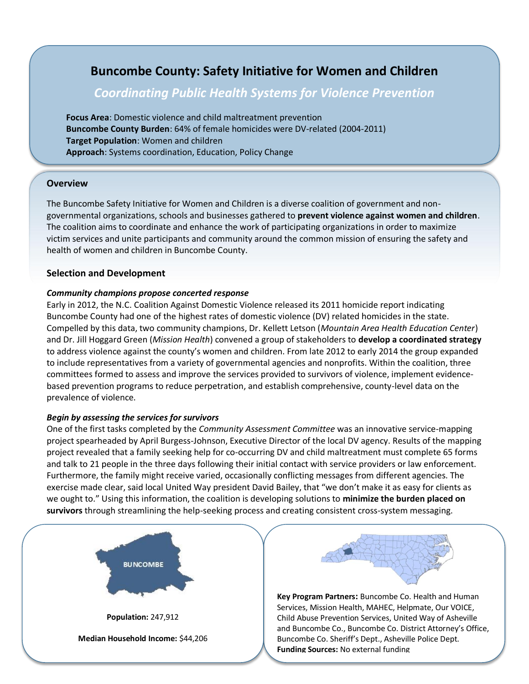# **Buncombe County: Safety Initiative for Women and Children**

# *Coordinating Public Health Systems for Violence Prevention*

**Focus Area**: Domestic violence and child maltreatment prevention **Buncombe County Burden**: 64% of female homicides were DV-related (2004-2011) **Target Population**: Women and children **Approach**: Systems coordination, Education, Policy Change

# **Overview**

The Buncombe Safety Initiative for Women and Children is a diverse coalition of government and nongovernmental organizations, schools and businesses gathered to **prevent violence against women and children**. The coalition aims to coordinate and enhance the work of participating organizations in order to maximize victim services and unite participants and community around the common mission of ensuring the safety and health of women and children in Buncombe County.

# **Selection and Development**

### *Community champions propose concerted response*

Early in 2012, the N.C. Coalition Against Domestic Violence released its 2011 homicide report indicating Buncombe County had one of the highest rates of domestic violence (DV) related homicides in the state. Compelled by this data, two community champions, Dr. Kellett Letson (*Mountain Area Health Education Center*) and Dr. Jill Hoggard Green (*Mission Health*) convened a group of stakeholders to **develop a coordinated strategy** to address violence against the county's women and children. From late 2012 to early 2014 the group expanded to include representatives from a variety of governmental agencies and nonprofits. Within the coalition, three committees formed to assess and improve the services provided to survivors of violence, implement evidencebased prevention programs to reduce perpetration, and establish comprehensive, county-level data on the prevalence of violence.

### *Begin by assessing the services for survivors*

One of the first tasks completed by the *Community Assessment Committee* was an innovative service-mapping project spearheaded by April Burgess-Johnson, Executive Director of the local DV agency. Results of the mapping project revealed that a family seeking help for co-occurring DV and child maltreatment must complete 65 forms and talk to 21 people in the three days following their initial contact with service providers or law enforcement. Furthermore, the family might receive varied, occasionally conflicting messages from different agencies. The exercise made clear, said local United Way president David Bailey, that "we don't make it as easy for clients as we ought to." Using this information, the coalition is developing solutions to **minimize the burden placed on survivors** through streamlining the help-seeking process and creating consistent cross-system messaging.